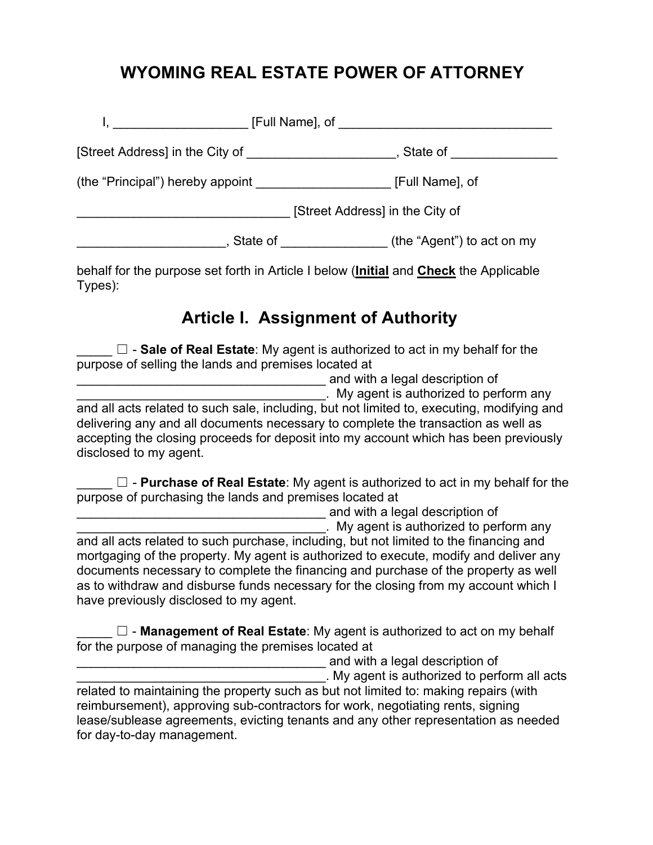### **WYOMING REAL ESTATE POWER OF ATTORNEY**

|                                                     | [Full Name], of The Contract of The Contract of The Contract of The Contract of The Contract of The Contract o                                                                                                                                   |                            |
|-----------------------------------------------------|--------------------------------------------------------------------------------------------------------------------------------------------------------------------------------------------------------------------------------------------------|----------------------------|
| [Street Address] in the City of ___________________ |                                                                                                                                                                                                                                                  | State of <b>State</b>      |
| (the "Principal") hereby appoint                    |                                                                                                                                                                                                                                                  | [Full Name], of            |
| [Street Address] in the City of                     |                                                                                                                                                                                                                                                  |                            |
|                                                     | State of<br><u> 1989 - Jan Stein Stein Stein Stein Stein Stein Stein Stein Stein Stein Stein Stein Stein Stein Stein Stein Stein Stein Stein Stein Stein Stein Stein Stein Stein Stein Stein Stein Stein Stein Stein Stein Stein Stein Stein</u> | (the "Agent") to act on my |

behalf for the purpose set forth in Article I below (**Initial** and **Check** the Applicable Types):

#### **Article I. Assignment of Authority**

□ - **Sale of Real Estate**: My agent is authorized to act in my behalf for the purpose of selling the lands and premises located at

\_\_\_\_\_\_\_\_\_\_\_\_\_\_\_\_\_\_\_\_\_\_\_\_\_\_\_\_\_\_\_\_\_\_\_ and with a legal description of

. My agent is authorized to perform any

and all acts related to such sale, including, but not limited to, executing, modifying and delivering any and all documents necessary to complete the transaction as well as accepting the closing proceeds for deposit into my account which has been previously disclosed to my agent.

□ - **Purchase of Real Estate**: My agent is authorized to act in my behalf for the purpose of purchasing the lands and premises located at

end with a legal description of . My agent is authorized to perform any and all acts related to such purchase, including, but not limited to the financing and mortgaging of the property. My agent is authorized to execute, modify and deliver any documents necessary to complete the financing and purchase of the property as well as to withdraw and disburse funds necessary for the closing from my account which I have previously disclosed to my agent.

□ - **Management of Real Estate**: My agent is authorized to act on my behalf for the purpose of managing the premises located at

and with a legal description of

\_\_\_\_\_\_\_\_\_\_\_\_\_\_\_\_\_\_\_\_\_\_\_\_\_\_\_\_\_\_\_\_\_\_\_. My agent is authorized to perform all acts related to maintaining the property such as but not limited to: making repairs (with reimbursement), approving sub-contractors for work, negotiating rents, signing lease/sublease agreements, evicting tenants and any other representation as needed for day-to-day management.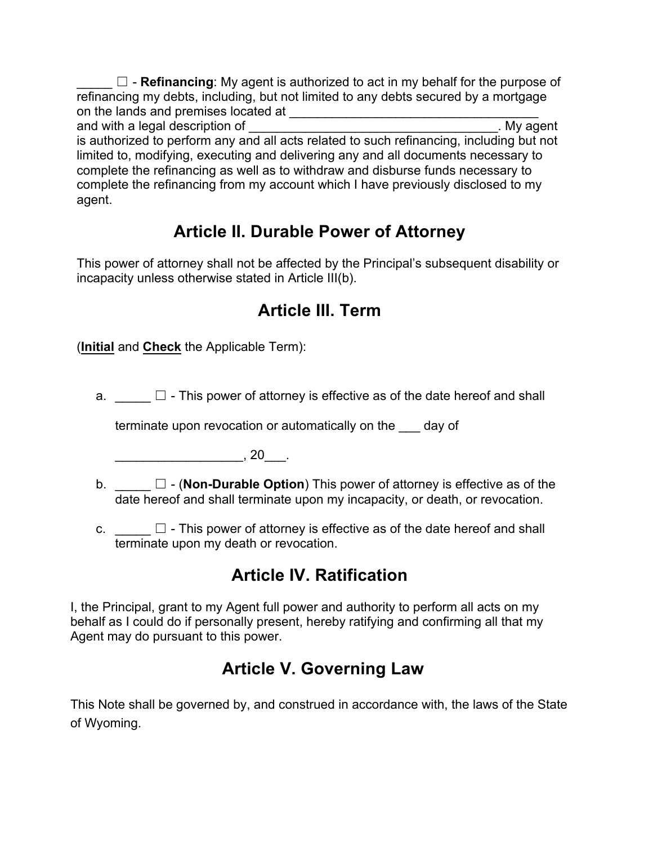$\Box$  - **Refinancing**: My agent is authorized to act in my behalf for the purpose of refinancing my debts, including, but not limited to any debts secured by a mortgage on the lands and premises located at  $\qquad \qquad \qquad$ 

and with a legal description of **EXALC 2008** and with a legal description of is authorized to perform any and all acts related to such refinancing, including but not limited to, modifying, executing and delivering any and all documents necessary to complete the refinancing as well as to withdraw and disburse funds necessary to complete the refinancing from my account which I have previously disclosed to my agent.

### **Article II. Durable Power of Attorney**

This power of attorney shall not be affected by the Principal's subsequent disability or incapacity unless otherwise stated in Article III(b).

### **Article III. Term**

(**Initial** and **Check** the Applicable Term):

a.  $\Box$  - This power of attorney is effective as of the date hereof and shall

terminate upon revocation or automatically on the \_\_\_ day of

 $\blacksquare$ , 20 $\blacksquare$ .

- b. \_\_\_\_\_ ☐ (**Non-Durable Option**) This power of attorney is effective as of the date hereof and shall terminate upon my incapacity, or death, or revocation.
- c.  $\Box$  This power of attorney is effective as of the date hereof and shall terminate upon my death or revocation.

# **Article IV. Ratification**

I, the Principal, grant to my Agent full power and authority to perform all acts on my behalf as I could do if personally present, hereby ratifying and confirming all that my Agent may do pursuant to this power.

# **Article V. Governing Law**

This Note shall be governed by, and construed in accordance with, the laws of the State of Wyoming.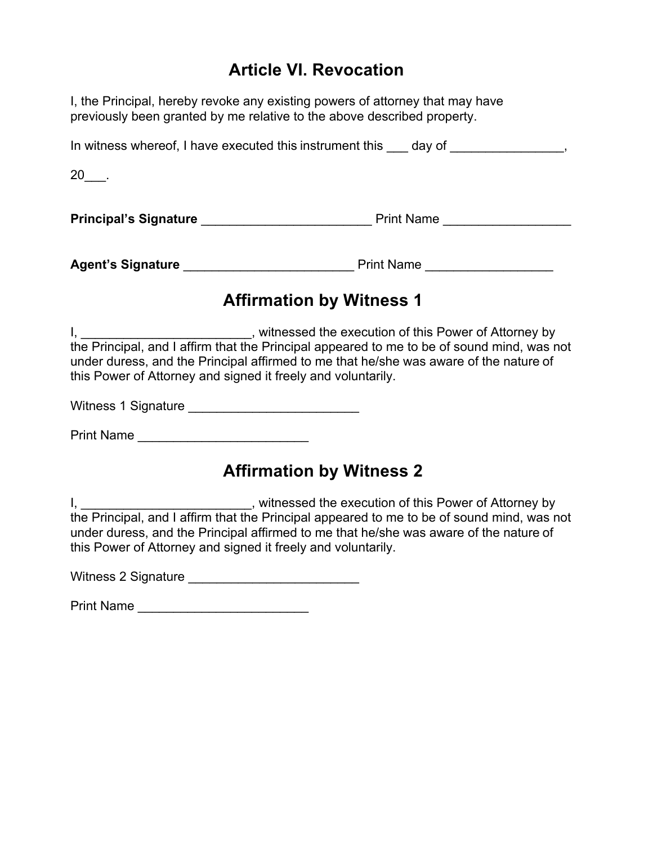#### **Article VI. Revocation**

I, the Principal, hereby revoke any existing powers of attorney that may have previously been granted by me relative to the above described property.

| In witness whereof, I have executed this instrument this day of |                   |
|-----------------------------------------------------------------|-------------------|
| $20$ .                                                          |                   |
| <b>Principal's Signature</b>                                    | <b>Print Name</b> |
| <b>Agent's Signature</b>                                        | <b>Print Name</b> |

### **Affirmation by Witness 1**

| , witnessed the execution of this Power of Attorney by                                     |
|--------------------------------------------------------------------------------------------|
| the Principal, and I affirm that the Principal appeared to me to be of sound mind, was not |
| under duress, and the Principal affirmed to me that he/she was aware of the nature of      |
| this Power of Attorney and signed it freely and voluntarily.                               |

Witness 1 Signature \_\_\_\_\_\_\_\_\_\_\_\_\_\_\_\_\_\_\_\_\_\_\_\_

Print Name \_\_\_\_\_\_\_\_\_\_\_\_\_\_\_\_\_\_\_\_\_\_\_\_

#### **Affirmation by Witness 2**

I, \_\_\_\_\_\_\_\_\_\_\_\_\_\_\_\_\_\_\_\_\_\_\_\_\_, witnessed the execution of this Power of Attorney by the Principal, and I affirm that the Principal appeared to me to be of sound mind, was not under duress, and the Principal affirmed to me that he/she was aware of the nature of this Power of Attorney and signed it freely and voluntarily.

Witness 2 Signature \_\_\_\_\_\_\_\_\_\_\_\_\_\_\_\_\_\_\_\_\_\_\_\_

Print Name **Example 20**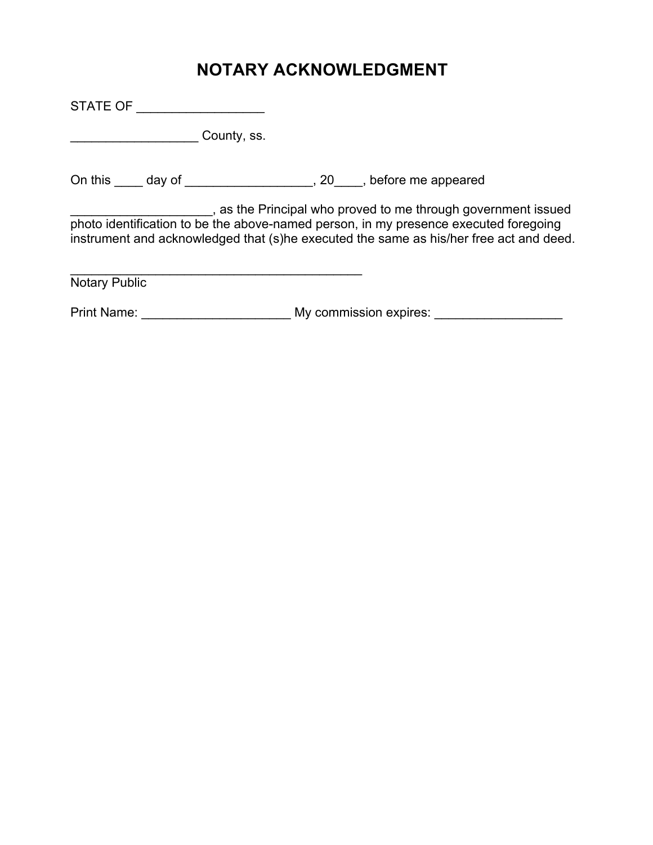### **NOTARY ACKNOWLEDGMENT**

STATE OF \_\_\_\_\_\_\_\_\_\_\_\_\_\_\_\_\_\_ extending County, ss. On this \_\_\_\_ day of \_\_\_\_\_\_\_\_\_\_\_\_\_\_\_\_\_\_, 20\_\_\_\_, before me appeared \_\_\_\_\_\_\_\_\_\_\_\_\_\_\_\_\_\_\_\_, as the Principal who proved to me through government issued photo identification to be the above-named person, in my presence executed foregoing instrument and acknowledged that (s)he executed the same as his/her free act and deed.  $\mathcal{L}_\text{max}$  , and the contract of the contract of the contract of the contract of the contract of the contract of the contract of the contract of the contract of the contract of the contract of the contract of the contr Notary Public Print Name: \_\_\_\_\_\_\_\_\_\_\_\_\_\_\_\_\_\_\_\_\_\_\_\_\_\_\_ My commission expires: \_\_\_\_\_\_\_\_\_\_\_\_\_\_\_\_\_